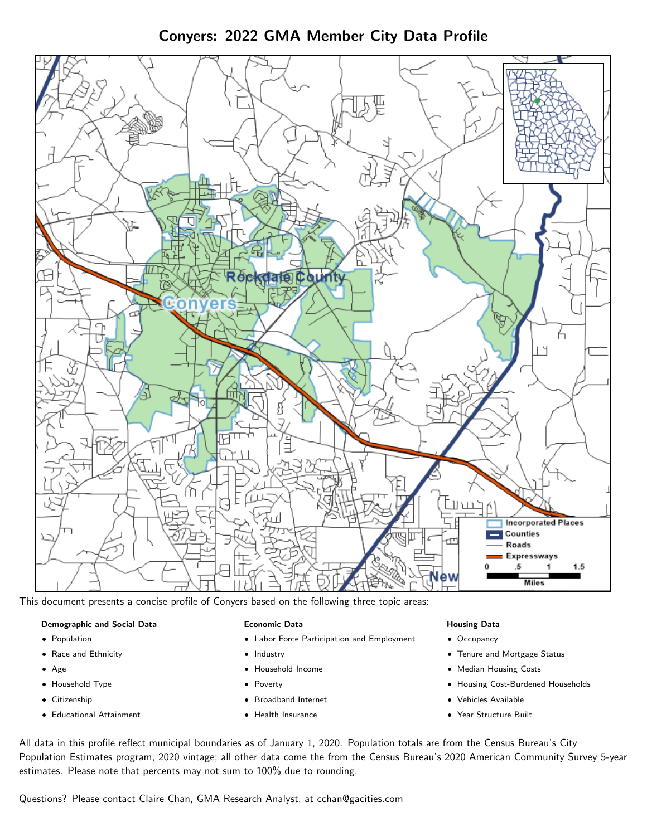Conyers: 2022 GMA Member City Data Profile



This document presents a concise profile of Conyers based on the following three topic areas:

## Demographic and Social Data

- **•** Population
- Race and Ethnicity
- Age
- Household Type
- **Citizenship**
- Educational Attainment

## Economic Data

- Labor Force Participation and Employment
- Industry
- Household Income
- Poverty
- Broadband Internet
- Health Insurance

#### Housing Data

- Occupancy
- Tenure and Mortgage Status
- Median Housing Costs
- Housing Cost-Burdened Households
- Vehicles Available
- Year Structure Built

All data in this profile reflect municipal boundaries as of January 1, 2020. Population totals are from the Census Bureau's City Population Estimates program, 2020 vintage; all other data come the from the Census Bureau's 2020 American Community Survey 5-year estimates. Please note that percents may not sum to 100% due to rounding.

Questions? Please contact Claire Chan, GMA Research Analyst, at [cchan@gacities.com.](mailto:cchan@gacities.com)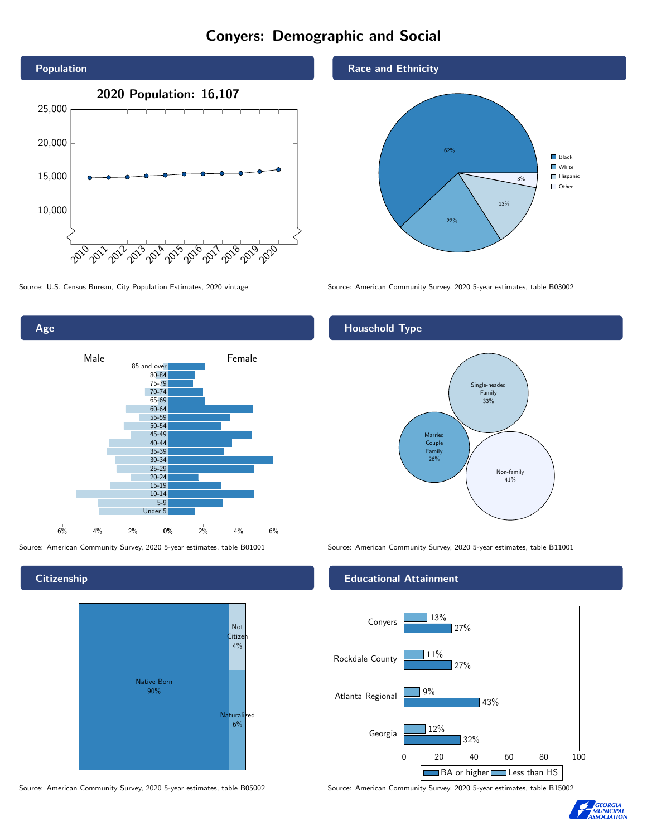# Conyers: Demographic and Social





**Citizenship** 



Source: American Community Survey, 2020 5-year estimates, table B05002 Source: American Community Survey, 2020 5-year estimates, table B15002





Source: U.S. Census Bureau, City Population Estimates, 2020 vintage Source: American Community Survey, 2020 5-year estimates, table B03002

## Household Type



Source: American Community Survey, 2020 5-year estimates, table B01001 Source: American Community Survey, 2020 5-year estimates, table B11001

## Educational Attainment



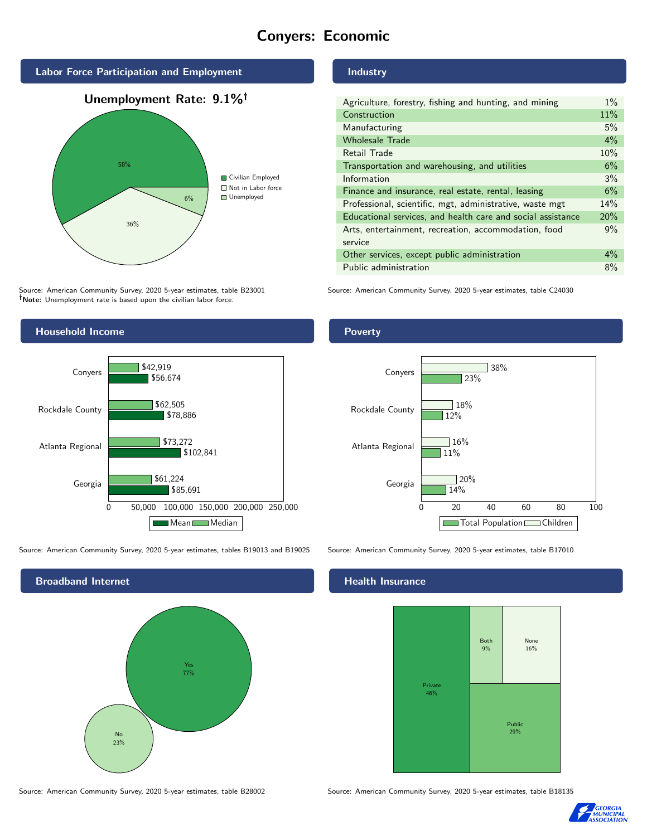# Conyers: Economic



Source: American Community Survey, 2020 5-year estimates, table B23001 Note: Unemployment rate is based upon the civilian labor force.



Source: American Community Survey, 2020 5-year estimates, tables B19013 and B19025 Source: American Community Survey, 2020 5-year estimates, table B17010



Source: American Community Survey, 2020 5-year estimates, table B28002 Source: American Community Survey, 2020 5-year estimates, table B18135

## Industry

| Agriculture, forestry, fishing and hunting, and mining      | $1\%$ |
|-------------------------------------------------------------|-------|
| Construction                                                | 11%   |
| Manufacturing                                               | 5%    |
| <b>Wholesale Trade</b>                                      | $4\%$ |
| Retail Trade                                                | 10%   |
| Transportation and warehousing, and utilities               | 6%    |
| Information                                                 | 3%    |
| Finance and insurance, real estate, rental, leasing         | 6%    |
| Professional, scientific, mgt, administrative, waste mgt    | 14%   |
| Educational services, and health care and social assistance | 20%   |
| Arts, entertainment, recreation, accommodation, food        | 9%    |
| service                                                     |       |
| Other services, except public administration                | $4\%$ |
| Public administration                                       | 8%    |

Source: American Community Survey, 2020 5-year estimates, table C24030

#### **Poverty**



#### Health Insurance